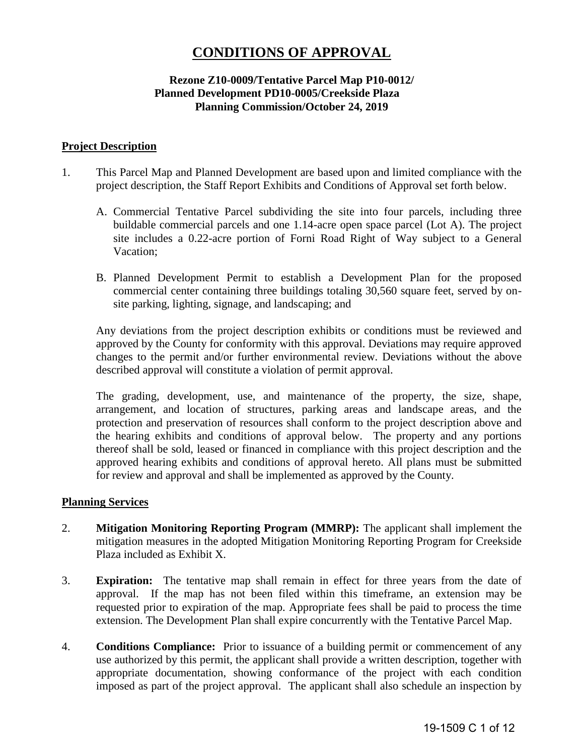# **CONDITIONS OF APPROVAL**

## **Rezone Z10-0009/Tentative Parcel Map P10-0012/ Planned Development PD10-0005/Creekside Plaza Planning Commission/October 24, 2019**

### **Project Description**

- 1. This Parcel Map and Planned Development are based upon and limited compliance with the project description, the Staff Report Exhibits and Conditions of Approval set forth below.
	- A. Commercial Tentative Parcel subdividing the site into four parcels, including three buildable commercial parcels and one 1.14-acre open space parcel (Lot A). The project site includes a 0.22-acre portion of Forni Road Right of Way subject to a General Vacation;
	- B. Planned Development Permit to establish a Development Plan for the proposed commercial center containing three buildings totaling 30,560 square feet, served by onsite parking, lighting, signage, and landscaping; and

 Any deviations from the project description exhibits or conditions must be reviewed and approved by the County for conformity with this approval. Deviations may require approved changes to the permit and/or further environmental review. Deviations without the above described approval will constitute a violation of permit approval.

The grading, development, use, and maintenance of the property, the size, shape, arrangement, and location of structures, parking areas and landscape areas, and the protection and preservation of resources shall conform to the project description above and the hearing exhibits and conditions of approval below. The property and any portions thereof shall be sold, leased or financed in compliance with this project description and the approved hearing exhibits and conditions of approval hereto. All plans must be submitted for review and approval and shall be implemented as approved by the County.

### **Planning Services**

- 2. **Mitigation Monitoring Reporting Program (MMRP):** The applicant shall implement the mitigation measures in the adopted Mitigation Monitoring Reporting Program for Creekside Plaza included as Exhibit X.
- 3. **Expiration:** The tentative map shall remain in effect for three years from the date of approval. If the map has not been filed within this timeframe, an extension may be requested prior to expiration of the map. Appropriate fees shall be paid to process the time extension. The Development Plan shall expire concurrently with the Tentative Parcel Map.
- 4. **Conditions Compliance:** Prior to issuance of a building permit or commencement of any use authorized by this permit, the applicant shall provide a written description, together with appropriate documentation, showing conformance of the project with each condition imposed as part of the project approval. The applicant shall also schedule an inspection by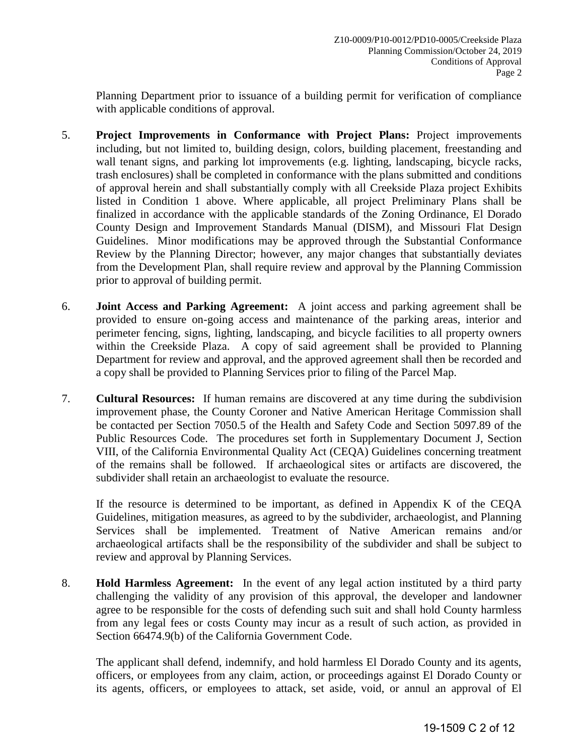Planning Department prior to issuance of a building permit for verification of compliance with applicable conditions of approval.

- 5. **Project Improvements in Conformance with Project Plans:** Project improvements including, but not limited to, building design, colors, building placement, freestanding and wall tenant signs, and parking lot improvements (e.g. lighting, landscaping, bicycle racks, trash enclosures) shall be completed in conformance with the plans submitted and conditions of approval herein and shall substantially comply with all Creekside Plaza project Exhibits listed in Condition 1 above. Where applicable, all project Preliminary Plans shall be finalized in accordance with the applicable standards of the Zoning Ordinance, El Dorado County Design and Improvement Standards Manual (DISM), and Missouri Flat Design Guidelines. Minor modifications may be approved through the Substantial Conformance Review by the Planning Director; however, any major changes that substantially deviates from the Development Plan, shall require review and approval by the Planning Commission prior to approval of building permit.
- 6. **Joint Access and Parking Agreement:** A joint access and parking agreement shall be provided to ensure on-going access and maintenance of the parking areas, interior and perimeter fencing, signs, lighting, landscaping, and bicycle facilities to all property owners within the Creekside Plaza. A copy of said agreement shall be provided to Planning Department for review and approval, and the approved agreement shall then be recorded and a copy shall be provided to Planning Services prior to filing of the Parcel Map.
- 7. **Cultural Resources:** If human remains are discovered at any time during the subdivision improvement phase, the County Coroner and Native American Heritage Commission shall be contacted per Section 7050.5 of the Health and Safety Code and Section 5097.89 of the Public Resources Code. The procedures set forth in Supplementary Document J, Section VIII, of the California Environmental Quality Act (CEQA) Guidelines concerning treatment of the remains shall be followed. If archaeological sites or artifacts are discovered, the subdivider shall retain an archaeologist to evaluate the resource.

If the resource is determined to be important, as defined in Appendix K of the CEQA Guidelines, mitigation measures, as agreed to by the subdivider, archaeologist, and Planning Services shall be implemented. Treatment of Native American remains and/or archaeological artifacts shall be the responsibility of the subdivider and shall be subject to review and approval by Planning Services.

8. **Hold Harmless Agreement:** In the event of any legal action instituted by a third party challenging the validity of any provision of this approval, the developer and landowner agree to be responsible for the costs of defending such suit and shall hold County harmless from any legal fees or costs County may incur as a result of such action, as provided in Section 66474.9(b) of the California Government Code.

The applicant shall defend, indemnify, and hold harmless El Dorado County and its agents, officers, or employees from any claim, action, or proceedings against El Dorado County or its agents, officers, or employees to attack, set aside, void, or annul an approval of El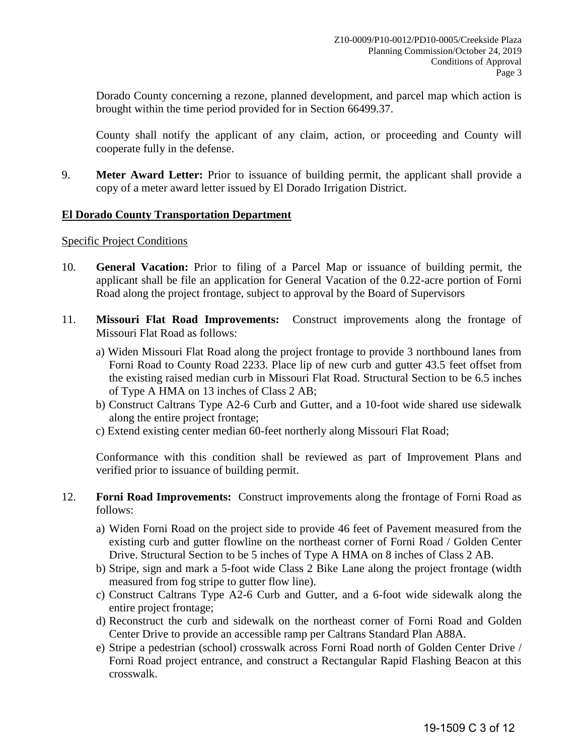Dorado County concerning a rezone, planned development, and parcel map which action is brought within the time period provided for in Section 66499.37.

County shall notify the applicant of any claim, action, or proceeding and County will cooperate fully in the defense.

9. **Meter Award Letter:** Prior to issuance of building permit, the applicant shall provide a copy of a meter award letter issued by El Dorado Irrigation District.

### **El Dorado County Transportation Department**

#### Specific Project Conditions

- 10. **General Vacation:** Prior to filing of a Parcel Map or issuance of building permit, the applicant shall be file an application for General Vacation of the 0.22-acre portion of Forni Road along the project frontage, subject to approval by the Board of Supervisors
- 11. **Missouri Flat Road Improvements:** Construct improvements along the frontage of Missouri Flat Road as follows:
	- a) Widen Missouri Flat Road along the project frontage to provide 3 northbound lanes from Forni Road to County Road 2233. Place lip of new curb and gutter 43.5 feet offset from the existing raised median curb in Missouri Flat Road. Structural Section to be 6.5 inches of Type A HMA on 13 inches of Class 2 AB;
	- b) Construct Caltrans Type A2-6 Curb and Gutter, and a 10-foot wide shared use sidewalk along the entire project frontage;
	- c) Extend existing center median 60-feet northerly along Missouri Flat Road;

Conformance with this condition shall be reviewed as part of Improvement Plans and verified prior to issuance of building permit.

- 12. **Forni Road Improvements:** Construct improvements along the frontage of Forni Road as follows:
	- a) Widen Forni Road on the project side to provide 46 feet of Pavement measured from the existing curb and gutter flowline on the northeast corner of Forni Road / Golden Center Drive. Structural Section to be 5 inches of Type A HMA on 8 inches of Class 2 AB.
	- b) Stripe, sign and mark a 5-foot wide Class 2 Bike Lane along the project frontage (width measured from fog stripe to gutter flow line).
	- c) Construct Caltrans Type A2-6 Curb and Gutter, and a 6-foot wide sidewalk along the entire project frontage;
	- d) Reconstruct the curb and sidewalk on the northeast corner of Forni Road and Golden Center Drive to provide an accessible ramp per Caltrans Standard Plan A88A.
	- e) Stripe a pedestrian (school) crosswalk across Forni Road north of Golden Center Drive / Forni Road project entrance, and construct a Rectangular Rapid Flashing Beacon at this crosswalk.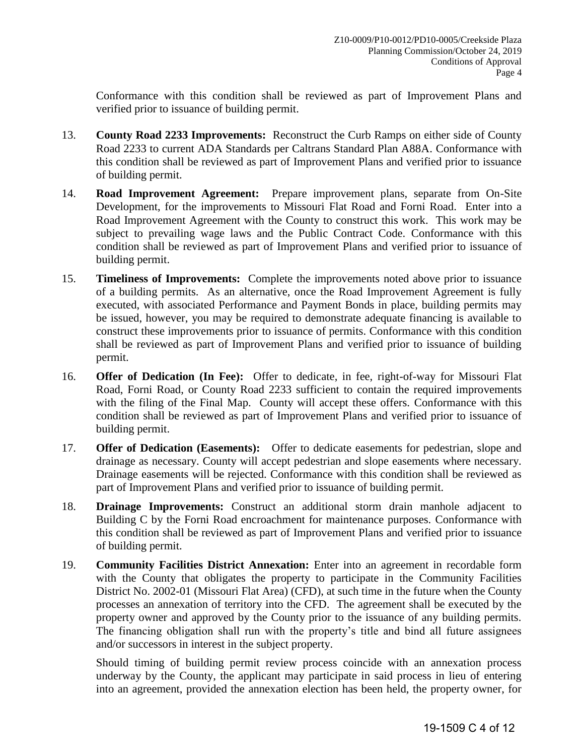Conformance with this condition shall be reviewed as part of Improvement Plans and verified prior to issuance of building permit.

- 13. **County Road 2233 Improvements:** Reconstruct the Curb Ramps on either side of County Road 2233 to current ADA Standards per Caltrans Standard Plan A88A. Conformance with this condition shall be reviewed as part of Improvement Plans and verified prior to issuance of building permit.
- 14. **Road Improvement Agreement:** Prepare improvement plans, separate from On-Site Development, for the improvements to Missouri Flat Road and Forni Road. Enter into a Road Improvement Agreement with the County to construct this work. This work may be subject to prevailing wage laws and the Public Contract Code. Conformance with this condition shall be reviewed as part of Improvement Plans and verified prior to issuance of building permit.
- 15. **Timeliness of Improvements:** Complete the improvements noted above prior to issuance of a building permits. As an alternative, once the Road Improvement Agreement is fully executed, with associated Performance and Payment Bonds in place, building permits may be issued, however, you may be required to demonstrate adequate financing is available to construct these improvements prior to issuance of permits. Conformance with this condition shall be reviewed as part of Improvement Plans and verified prior to issuance of building permit.
- 16. **Offer of Dedication (In Fee):** Offer to dedicate, in fee, right-of-way for Missouri Flat Road, Forni Road, or County Road 2233 sufficient to contain the required improvements with the filing of the Final Map. County will accept these offers. Conformance with this condition shall be reviewed as part of Improvement Plans and verified prior to issuance of building permit.
- 17. **Offer of Dedication (Easements):** Offer to dedicate easements for pedestrian, slope and drainage as necessary. County will accept pedestrian and slope easements where necessary. Drainage easements will be rejected. Conformance with this condition shall be reviewed as part of Improvement Plans and verified prior to issuance of building permit.
- 18. **Drainage Improvements:** Construct an additional storm drain manhole adjacent to Building C by the Forni Road encroachment for maintenance purposes. Conformance with this condition shall be reviewed as part of Improvement Plans and verified prior to issuance of building permit.
- 19. **Community Facilities District Annexation:** Enter into an agreement in recordable form with the County that obligates the property to participate in the Community Facilities District No. 2002-01 (Missouri Flat Area) (CFD), at such time in the future when the County processes an annexation of territory into the CFD. The agreement shall be executed by the property owner and approved by the County prior to the issuance of any building permits. The financing obligation shall run with the property's title and bind all future assignees and/or successors in interest in the subject property.

Should timing of building permit review process coincide with an annexation process underway by the County, the applicant may participate in said process in lieu of entering into an agreement, provided the annexation election has been held, the property owner, for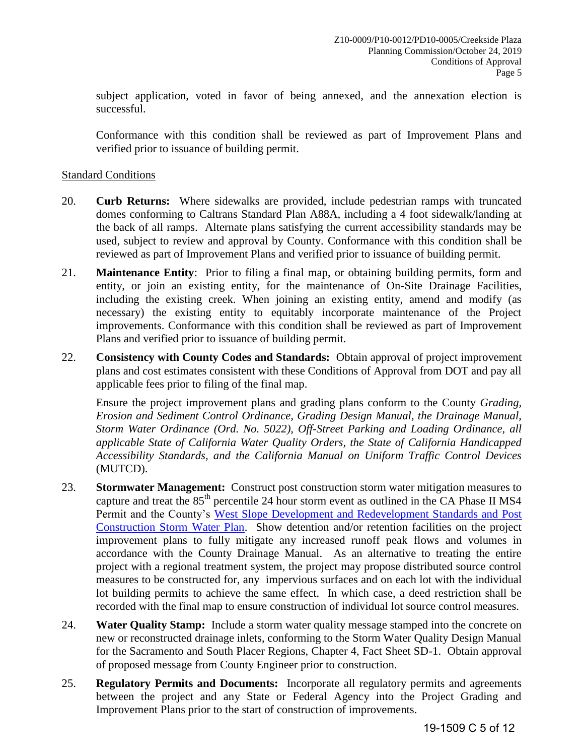subject application, voted in favor of being annexed, and the annexation election is successful.

 Conformance with this condition shall be reviewed as part of Improvement Plans and verified prior to issuance of building permit.

### Standard Conditions

- 20. **Curb Returns:** Where sidewalks are provided, include pedestrian ramps with truncated domes conforming to Caltrans Standard Plan A88A, including a 4 foot sidewalk/landing at the back of all ramps. Alternate plans satisfying the current accessibility standards may be used, subject to review and approval by County. Conformance with this condition shall be reviewed as part of Improvement Plans and verified prior to issuance of building permit.
- 21. **Maintenance Entity**: Prior to filing a final map, or obtaining building permits, form and entity, or join an existing entity, for the maintenance of On-Site Drainage Facilities, including the existing creek. When joining an existing entity, amend and modify (as necessary) the existing entity to equitably incorporate maintenance of the Project improvements. Conformance with this condition shall be reviewed as part of Improvement Plans and verified prior to issuance of building permit.
- 22. **Consistency with County Codes and Standards:** Obtain approval of project improvement plans and cost estimates consistent with these Conditions of Approval from DOT and pay all applicable fees prior to filing of the final map.

 Ensure the project improvement plans and grading plans conform to the County *Grading, Erosion and Sediment Control Ordinance, Grading Design Manual, the Drainage Manual, Storm Water Ordinance (Ord. No. 5022), Off-Street Parking and Loading Ordinance, all applicable State of California Water Quality Orders, the State of California Handicapped Accessibility Standards, and the California Manual on Uniform Traffic Control Devices*  (MUTCD).

- 23. **Stormwater Management:** Construct post construction storm water mitigation measures to capture and treat the 85<sup>th</sup> percentile 24 hour storm event as outlined in the CA Phase II MS4 Permit and the County's [West Slope Development and Redevelopment Standards and Post](http://www.edcgov.us/LongRangePlanning/StormWaterManagement/West_Slope_Development_and_Redevelopment_Standards.aspx)  [Construction Storm Water Plan.](http://www.edcgov.us/LongRangePlanning/StormWaterManagement/West_Slope_Development_and_Redevelopment_Standards.aspx) Show detention and/or retention facilities on the project improvement plans to fully mitigate any increased runoff peak flows and volumes in accordance with the County Drainage Manual. As an alternative to treating the entire project with a regional treatment system, the project may propose distributed source control measures to be constructed for, any impervious surfaces and on each lot with the individual lot building permits to achieve the same effect. In which case, a deed restriction shall be recorded with the final map to ensure construction of individual lot source control measures.
- 24. **Water Quality Stamp:** Include a storm water quality message stamped into the concrete on new or reconstructed drainage inlets, conforming to the Storm Water Quality Design Manual for the Sacramento and South Placer Regions, Chapter 4, Fact Sheet SD-1. Obtain approval of proposed message from County Engineer prior to construction.
- 25. **Regulatory Permits and Documents:** Incorporate all regulatory permits and agreements between the project and any State or Federal Agency into the Project Grading and Improvement Plans prior to the start of construction of improvements.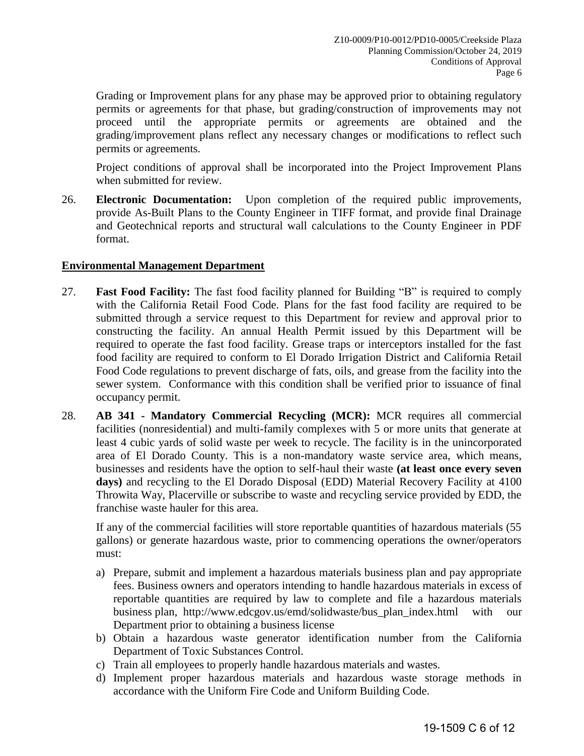Grading or Improvement plans for any phase may be approved prior to obtaining regulatory permits or agreements for that phase, but grading/construction of improvements may not proceed until the appropriate permits or agreements are obtained and the grading/improvement plans reflect any necessary changes or modifications to reflect such permits or agreements.

Project conditions of approval shall be incorporated into the Project Improvement Plans when submitted for review.

26. **Electronic Documentation:** Upon completion of the required public improvements, provide As-Built Plans to the County Engineer in TIFF format, and provide final Drainage and Geotechnical reports and structural wall calculations to the County Engineer in PDF format.

## **Environmental Management Department**

- 27. **Fast Food Facility:** The fast food facility planned for Building "B" is required to comply with the California Retail Food Code. Plans for the fast food facility are required to be submitted through a service request to this Department for review and approval prior to constructing the facility. An annual Health Permit issued by this Department will be required to operate the fast food facility. Grease traps or interceptors installed for the fast food facility are required to conform to El Dorado Irrigation District and California Retail Food Code regulations to prevent discharge of fats, oils, and grease from the facility into the sewer system. Conformance with this condition shall be verified prior to issuance of final occupancy permit.
- 28. **AB 341 Mandatory Commercial Recycling (MCR):** MCR requires all commercial facilities (nonresidential) and multi-family complexes with 5 or more units that generate at least 4 cubic yards of solid waste per week to recycle. The facility is in the unincorporated area of El Dorado County. This is a non-mandatory waste service area, which means, businesses and residents have the option to self-haul their waste **(at least once every seven days)** and recycling to the El Dorado Disposal (EDD) Material Recovery Facility at 4100 Throwita Way, Placerville or subscribe to waste and recycling service provided by EDD, the franchise waste hauler for this area.

 If any of the commercial facilities will store reportable quantities of hazardous materials (55 gallons) or generate hazardous waste, prior to commencing operations the owner/operators must:

- a) Prepare, submit and implement a hazardous materials business plan and pay appropriate fees. Business owners and operators intending to handle hazardous materials in excess of reportable quantities are required by law to complete and file a hazardous materials business plan, http://www.edcgov.us/emd/solidwaste/bus\_plan\_index.html with our Department prior to obtaining a business license
- b) Obtain a hazardous waste generator identification number from the California Department of Toxic Substances Control.
- c) Train all employees to properly handle hazardous materials and wastes.
- d) Implement proper hazardous materials and hazardous waste storage methods in accordance with the Uniform Fire Code and Uniform Building Code.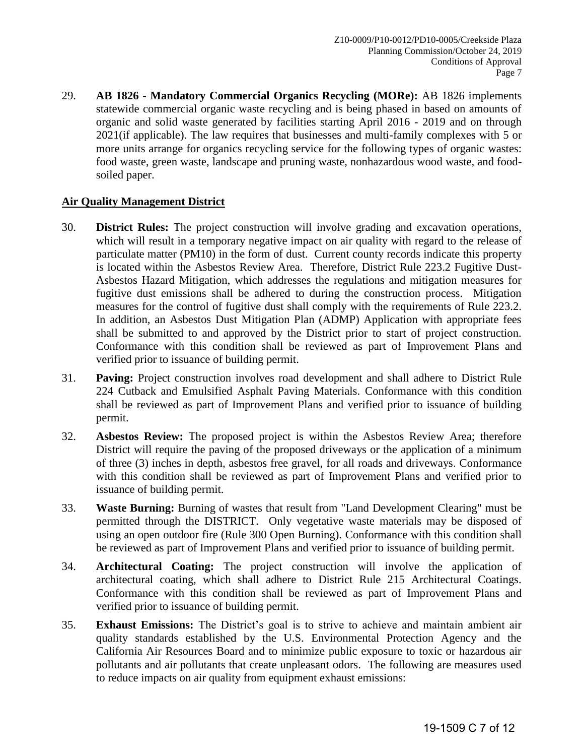29. **AB 1826 - Mandatory Commercial Organics Recycling (MORe):** AB 1826 implements statewide commercial organic waste recycling and is being phased in based on amounts of organic and solid waste generated by facilities starting April 2016 - 2019 and on through 2021(if applicable). The law requires that businesses and multi-family complexes with 5 or more units arrange for organics recycling service for the following types of organic wastes: food waste, green waste, landscape and pruning waste, nonhazardous wood waste, and foodsoiled paper.

## **Air Quality Management District**

- 30. **District Rules:** The project construction will involve grading and excavation operations, which will result in a temporary negative impact on air quality with regard to the release of particulate matter (PM10) in the form of dust. Current county records indicate this property is located within the Asbestos Review Area. Therefore, District Rule 223.2 Fugitive Dust-Asbestos Hazard Mitigation, which addresses the regulations and mitigation measures for fugitive dust emissions shall be adhered to during the construction process. Mitigation measures for the control of fugitive dust shall comply with the requirements of Rule 223.2. In addition, an Asbestos Dust Mitigation Plan (ADMP) Application with appropriate fees shall be submitted to and approved by the District prior to start of project construction. Conformance with this condition shall be reviewed as part of Improvement Plans and verified prior to issuance of building permit.
- 31. **Paving:** Project construction involves road development and shall adhere to District Rule 224 Cutback and Emulsified Asphalt Paving Materials. Conformance with this condition shall be reviewed as part of Improvement Plans and verified prior to issuance of building permit.
- 32. **Asbestos Review:** The proposed project is within the Asbestos Review Area; therefore District will require the paving of the proposed driveways or the application of a minimum of three (3) inches in depth, asbestos free gravel, for all roads and driveways. Conformance with this condition shall be reviewed as part of Improvement Plans and verified prior to issuance of building permit.
- 33. **Waste Burning:** Burning of wastes that result from "Land Development Clearing" must be permitted through the DISTRICT. Only vegetative waste materials may be disposed of using an open outdoor fire (Rule 300 Open Burning). Conformance with this condition shall be reviewed as part of Improvement Plans and verified prior to issuance of building permit.
- 34. **Architectural Coating:** The project construction will involve the application of architectural coating, which shall adhere to District Rule 215 Architectural Coatings. Conformance with this condition shall be reviewed as part of Improvement Plans and verified prior to issuance of building permit.
- 35. **Exhaust Emissions:** The District's goal is to strive to achieve and maintain ambient air quality standards established by the U.S. Environmental Protection Agency and the California Air Resources Board and to minimize public exposure to toxic or hazardous air pollutants and air pollutants that create unpleasant odors. The following are measures used to reduce impacts on air quality from equipment exhaust emissions: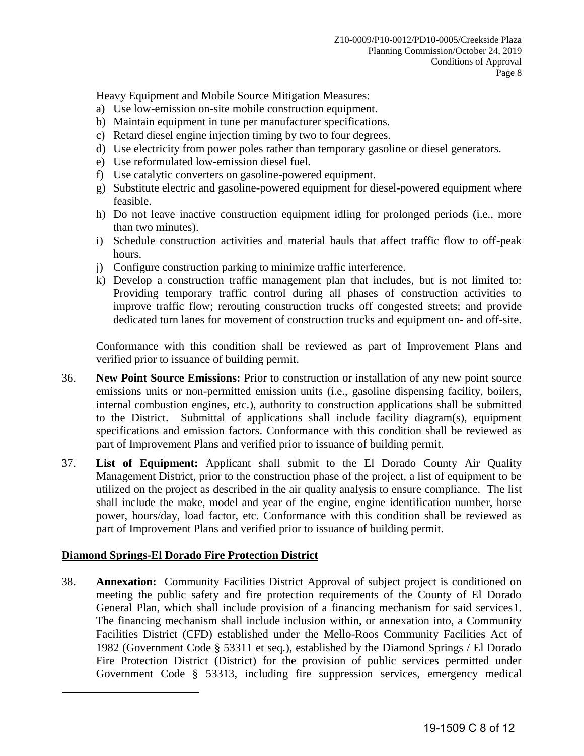Heavy Equipment and Mobile Source Mitigation Measures:

- a) Use low-emission on-site mobile construction equipment.
- b) Maintain equipment in tune per manufacturer specifications.
- c) Retard diesel engine injection timing by two to four degrees.
- d) Use electricity from power poles rather than temporary gasoline or diesel generators.
- e) Use reformulated low-emission diesel fuel.
- f) Use catalytic converters on gasoline-powered equipment.
- g) Substitute electric and gasoline-powered equipment for diesel-powered equipment where feasible.
- h) Do not leave inactive construction equipment idling for prolonged periods (i.e., more than two minutes).
- i) Schedule construction activities and material hauls that affect traffic flow to off-peak hours.
- j) Configure construction parking to minimize traffic interference.
- k) Develop a construction traffic management plan that includes, but is not limited to: Providing temporary traffic control during all phases of construction activities to improve traffic flow; rerouting construction trucks off congested streets; and provide dedicated turn lanes for movement of construction trucks and equipment on- and off-site.

 Conformance with this condition shall be reviewed as part of Improvement Plans and verified prior to issuance of building permit.

- 36. **New Point Source Emissions:** Prior to construction or installation of any new point source emissions units or non-permitted emission units (i.e., gasoline dispensing facility, boilers, internal combustion engines, etc.), authority to construction applications shall be submitted to the District. Submittal of applications shall include facility diagram(s), equipment specifications and emission factors. Conformance with this condition shall be reviewed as part of Improvement Plans and verified prior to issuance of building permit.
- 37. **List of Equipment:** Applicant shall submit to the El Dorado County Air Quality Management District, prior to the construction phase of the project, a list of equipment to be utilized on the project as described in the air quality analysis to ensure compliance. The list shall include the make, model and year of the engine, engine identification number, horse power, hours/day, load factor, etc. Conformance with this condition shall be reviewed as part of Improvement Plans and verified prior to issuance of building permit.

### **Diamond Springs-El Dorado Fire Protection District**

 $\overline{a}$ 

38. **Annexation:** Community Facilities District Approval of subject project is conditioned on meeting the public safety and fire protection requirements of the County of El Dorado General Plan, which shall include provision of a financing mechanism for said services1. The financing mechanism shall include inclusion within, or annexation into, a Community Facilities District (CFD) established under the Mello-Roos Community Facilities Act of 1982 (Government Code § 53311 et seq.), established by the Diamond Springs / El Dorado Fire Protection District (District) for the provision of public services permitted under Government Code § 53313, including fire suppression services, emergency medical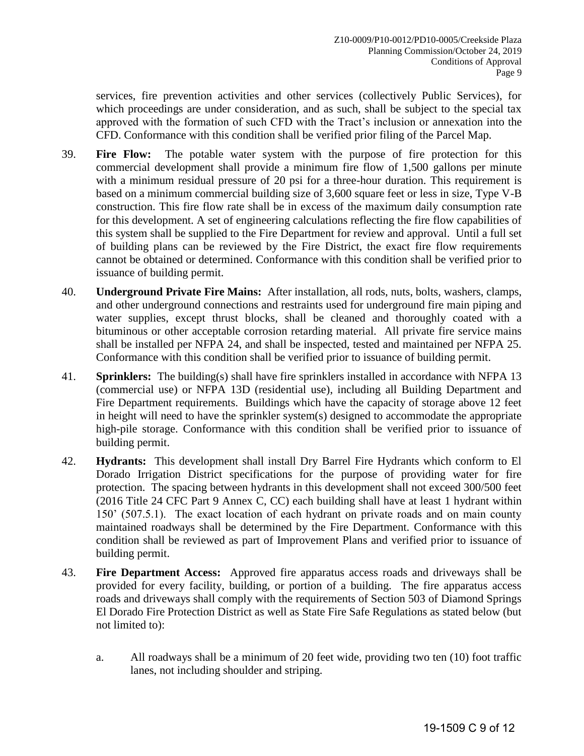services, fire prevention activities and other services (collectively Public Services), for which proceedings are under consideration, and as such, shall be subject to the special tax approved with the formation of such CFD with the Tract's inclusion or annexation into the CFD. Conformance with this condition shall be verified prior filing of the Parcel Map.

- 39. **Fire Flow:** The potable water system with the purpose of fire protection for this commercial development shall provide a minimum fire flow of 1,500 gallons per minute with a minimum residual pressure of 20 psi for a three-hour duration. This requirement is based on a minimum commercial building size of 3,600 square feet or less in size, Type V-B construction. This fire flow rate shall be in excess of the maximum daily consumption rate for this development. A set of engineering calculations reflecting the fire flow capabilities of this system shall be supplied to the Fire Department for review and approval. Until a full set of building plans can be reviewed by the Fire District, the exact fire flow requirements cannot be obtained or determined. Conformance with this condition shall be verified prior to issuance of building permit.
- 40. **Underground Private Fire Mains:** After installation, all rods, nuts, bolts, washers, clamps, and other underground connections and restraints used for underground fire main piping and water supplies, except thrust blocks, shall be cleaned and thoroughly coated with a bituminous or other acceptable corrosion retarding material. All private fire service mains shall be installed per NFPA 24, and shall be inspected, tested and maintained per NFPA 25. Conformance with this condition shall be verified prior to issuance of building permit.
- 41. **Sprinklers:** The building(s) shall have fire sprinklers installed in accordance with NFPA 13 (commercial use) or NFPA 13D (residential use), including all Building Department and Fire Department requirements. Buildings which have the capacity of storage above 12 feet in height will need to have the sprinkler system(s) designed to accommodate the appropriate high-pile storage. Conformance with this condition shall be verified prior to issuance of building permit.
- 42. **Hydrants:** This development shall install Dry Barrel Fire Hydrants which conform to El Dorado Irrigation District specifications for the purpose of providing water for fire protection. The spacing between hydrants in this development shall not exceed 300/500 feet (2016 Title 24 CFC Part 9 Annex C, CC) each building shall have at least 1 hydrant within 150' (507.5.1). The exact location of each hydrant on private roads and on main county maintained roadways shall be determined by the Fire Department. Conformance with this condition shall be reviewed as part of Improvement Plans and verified prior to issuance of building permit.
- 43. **Fire Department Access:** Approved fire apparatus access roads and driveways shall be provided for every facility, building, or portion of a building. The fire apparatus access roads and driveways shall comply with the requirements of Section 503 of Diamond Springs El Dorado Fire Protection District as well as State Fire Safe Regulations as stated below (but not limited to):
	- a. All roadways shall be a minimum of 20 feet wide, providing two ten (10) foot traffic lanes, not including shoulder and striping.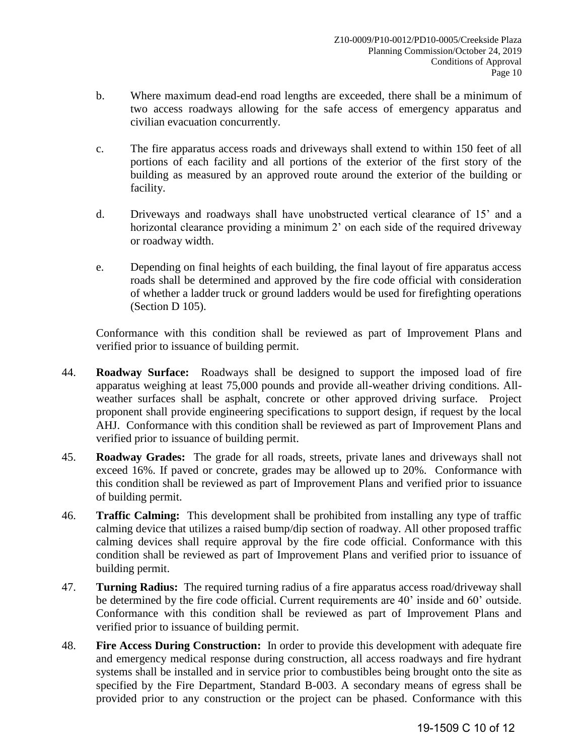- b. Where maximum dead-end road lengths are exceeded, there shall be a minimum of two access roadways allowing for the safe access of emergency apparatus and civilian evacuation concurrently.
- c. The fire apparatus access roads and driveways shall extend to within 150 feet of all portions of each facility and all portions of the exterior of the first story of the building as measured by an approved route around the exterior of the building or facility.
- d. Driveways and roadways shall have unobstructed vertical clearance of 15' and a horizontal clearance providing a minimum 2' on each side of the required driveway or roadway width.
- e. Depending on final heights of each building, the final layout of fire apparatus access roads shall be determined and approved by the fire code official with consideration of whether a ladder truck or ground ladders would be used for firefighting operations (Section D 105).

Conformance with this condition shall be reviewed as part of Improvement Plans and verified prior to issuance of building permit.

- 44. **Roadway Surface:** Roadways shall be designed to support the imposed load of fire apparatus weighing at least 75,000 pounds and provide all-weather driving conditions. Allweather surfaces shall be asphalt, concrete or other approved driving surface. Project proponent shall provide engineering specifications to support design, if request by the local AHJ. Conformance with this condition shall be reviewed as part of Improvement Plans and verified prior to issuance of building permit.
- 45. **Roadway Grades:** The grade for all roads, streets, private lanes and driveways shall not exceed 16%. If paved or concrete, grades may be allowed up to 20%. Conformance with this condition shall be reviewed as part of Improvement Plans and verified prior to issuance of building permit.
- 46. **Traffic Calming:** This development shall be prohibited from installing any type of traffic calming device that utilizes a raised bump/dip section of roadway. All other proposed traffic calming devices shall require approval by the fire code official. Conformance with this condition shall be reviewed as part of Improvement Plans and verified prior to issuance of building permit.
- 47. **Turning Radius:** The required turning radius of a fire apparatus access road/driveway shall be determined by the fire code official. Current requirements are 40' inside and 60' outside. Conformance with this condition shall be reviewed as part of Improvement Plans and verified prior to issuance of building permit.
- 48. **Fire Access During Construction:** In order to provide this development with adequate fire and emergency medical response during construction, all access roadways and fire hydrant systems shall be installed and in service prior to combustibles being brought onto the site as specified by the Fire Department, Standard B-003. A secondary means of egress shall be provided prior to any construction or the project can be phased. Conformance with this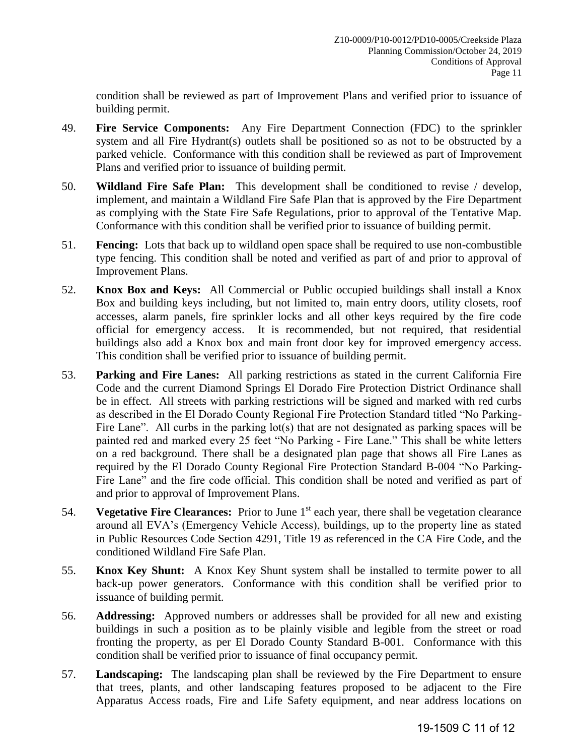condition shall be reviewed as part of Improvement Plans and verified prior to issuance of building permit.

- 49. **Fire Service Components:** Any Fire Department Connection (FDC) to the sprinkler system and all Fire Hydrant(s) outlets shall be positioned so as not to be obstructed by a parked vehicle. Conformance with this condition shall be reviewed as part of Improvement Plans and verified prior to issuance of building permit.
- 50. **Wildland Fire Safe Plan:** This development shall be conditioned to revise / develop, implement, and maintain a Wildland Fire Safe Plan that is approved by the Fire Department as complying with the State Fire Safe Regulations, prior to approval of the Tentative Map. Conformance with this condition shall be verified prior to issuance of building permit.
- 51. **Fencing:** Lots that back up to wildland open space shall be required to use non-combustible type fencing. This condition shall be noted and verified as part of and prior to approval of Improvement Plans.
- 52. **Knox Box and Keys:** All Commercial or Public occupied buildings shall install a Knox Box and building keys including, but not limited to, main entry doors, utility closets, roof accesses, alarm panels, fire sprinkler locks and all other keys required by the fire code official for emergency access. It is recommended, but not required, that residential buildings also add a Knox box and main front door key for improved emergency access. This condition shall be verified prior to issuance of building permit.
- 53. **Parking and Fire Lanes:** All parking restrictions as stated in the current California Fire Code and the current Diamond Springs El Dorado Fire Protection District Ordinance shall be in effect. All streets with parking restrictions will be signed and marked with red curbs as described in the El Dorado County Regional Fire Protection Standard titled "No Parking-Fire Lane". All curbs in the parking lot(s) that are not designated as parking spaces will be painted red and marked every 25 feet "No Parking - Fire Lane." This shall be white letters on a red background. There shall be a designated plan page that shows all Fire Lanes as required by the El Dorado County Regional Fire Protection Standard B-004 "No Parking-Fire Lane" and the fire code official. This condition shall be noted and verified as part of and prior to approval of Improvement Plans.
- 54. **Vegetative Fire Clearances:** Prior to June 1<sup>st</sup> each year, there shall be vegetation clearance around all EVA's (Emergency Vehicle Access), buildings, up to the property line as stated in Public Resources Code Section 4291, Title 19 as referenced in the CA Fire Code, and the conditioned Wildland Fire Safe Plan.
- 55. **Knox Key Shunt:** A Knox Key Shunt system shall be installed to termite power to all back-up power generators. Conformance with this condition shall be verified prior to issuance of building permit.
- 56. **Addressing:** Approved numbers or addresses shall be provided for all new and existing buildings in such a position as to be plainly visible and legible from the street or road fronting the property, as per El Dorado County Standard B-001. Conformance with this condition shall be verified prior to issuance of final occupancy permit.
- 57. **Landscaping:** The landscaping plan shall be reviewed by the Fire Department to ensure that trees, plants, and other landscaping features proposed to be adjacent to the Fire Apparatus Access roads, Fire and Life Safety equipment, and near address locations on